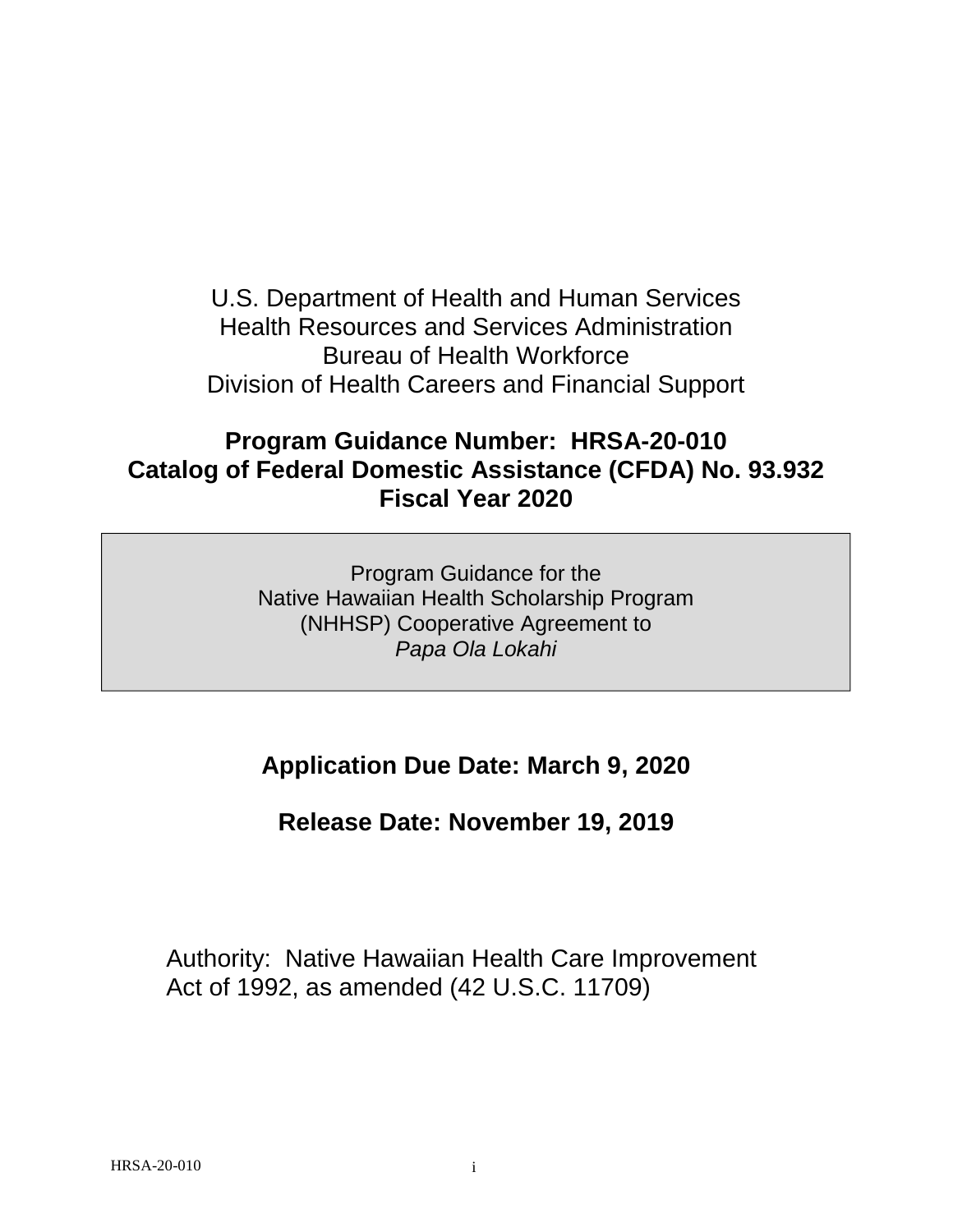U.S. Department of Health and Human Services Health Resources and Services Administration Bureau of Health Workforce Division of Health Careers and Financial Support

# **Program Guidance Number: HRSA-20-010 Catalog of Federal Domestic Assistance (CFDA) No. 93.932 Fiscal Year 2020**

Program Guidance for the Native Hawaiian Health Scholarship Program (NHHSP) Cooperative Agreement to *Papa Ola Lokahi*

# **Application Due Date: March 9, 2020**

**Release Date: November 19, 2019**

Authority: Native Hawaiian Health Care Improvement Act of 1992, as amended (42 U.S.C. 11709)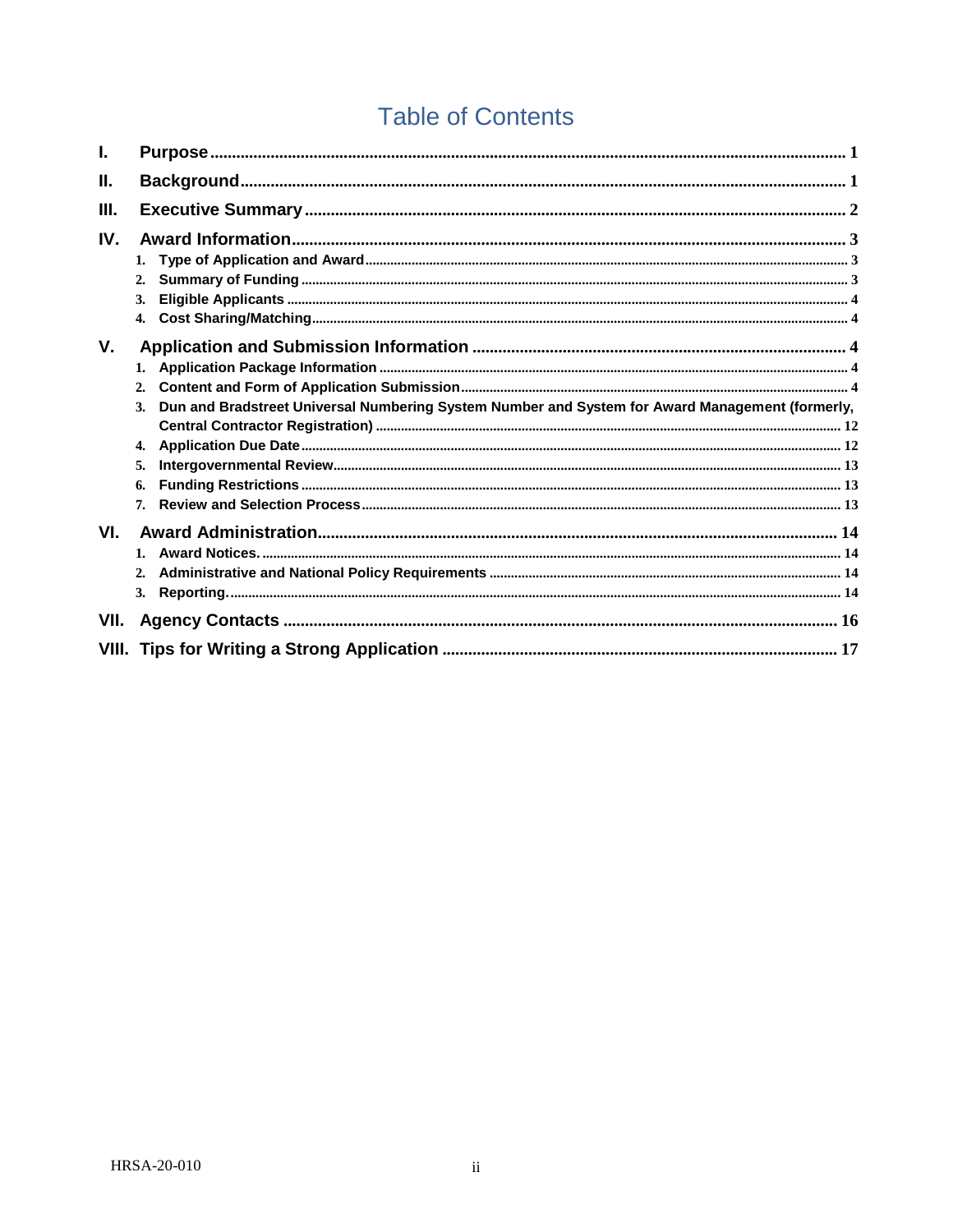# **Table of Contents**

| ı.   |                                                                                                                   |  |
|------|-------------------------------------------------------------------------------------------------------------------|--|
| Н.   |                                                                                                                   |  |
| III. |                                                                                                                   |  |
| IV.  | 1.<br>2.<br>3.<br>$\mathbf{4}$                                                                                    |  |
| V.   | 1.<br>2.<br>Dun and Bradstreet Universal Numbering System Number and System for Award Management (formerly,<br>3. |  |
|      | 4.<br>5.<br>6.<br>7.                                                                                              |  |
| VI.  | $1_{-}$<br>2.                                                                                                     |  |
| VII. |                                                                                                                   |  |
|      |                                                                                                                   |  |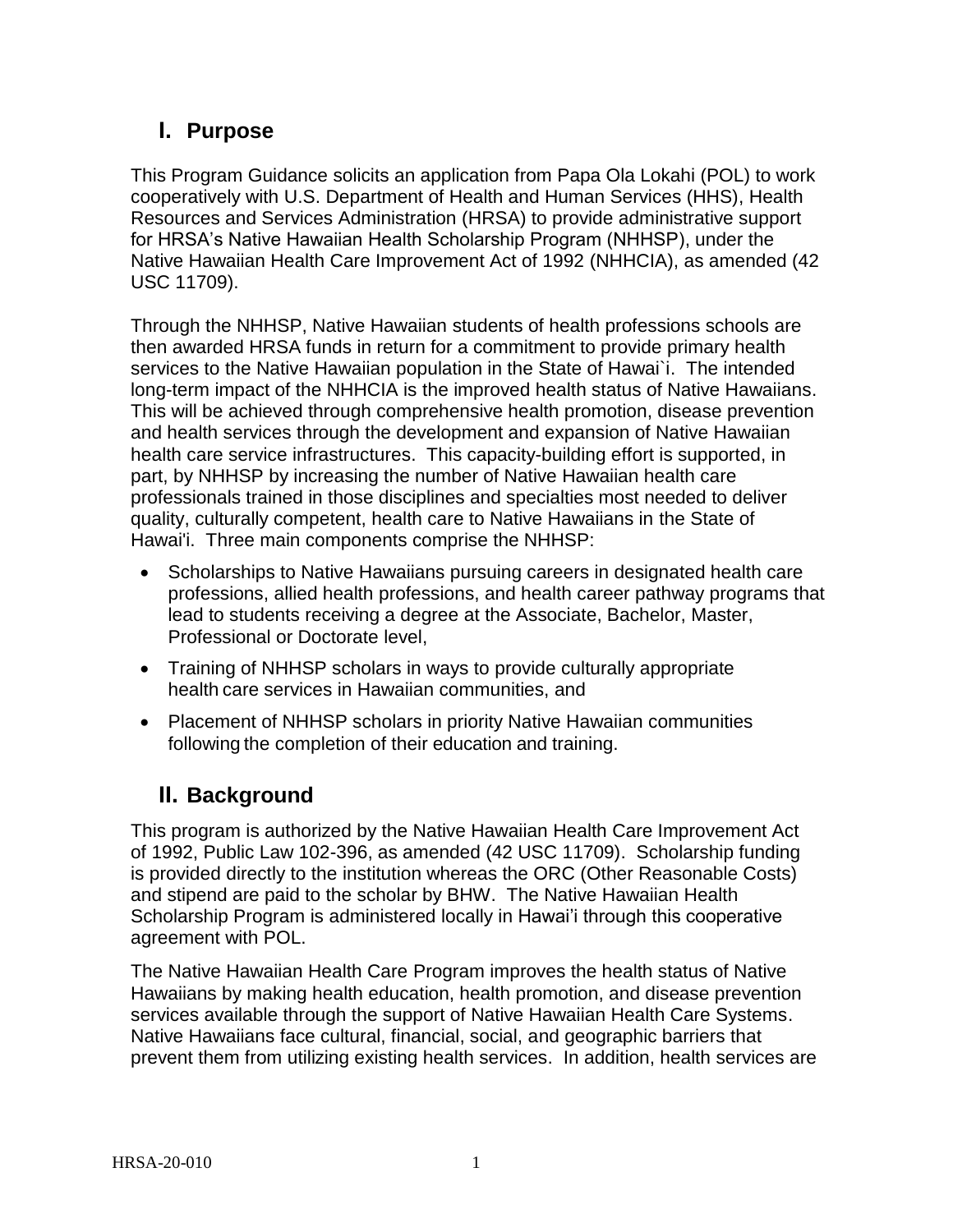# <span id="page-2-0"></span>**I. Purpose**

This Program Guidance solicits an application from Papa Ola Lokahi (POL) to work cooperatively with U.S. Department of Health and Human Services (HHS), Health Resources and Services Administration (HRSA) to provide administrative support for HRSA's Native Hawaiian Health Scholarship Program (NHHSP), under the Native Hawaiian Health Care Improvement Act of 1992 (NHHCIA), as amended (42 USC 11709).

Through the NHHSP, Native Hawaiian students of health professions schools are then awarded HRSA funds in return for a commitment to provide primary health services to the Native Hawaiian population in the State of Hawai`i. The intended long-term impact of the NHHCIA is the improved health status of Native Hawaiians. This will be achieved through comprehensive health promotion, disease prevention and health services through the development and expansion of Native Hawaiian health care service infrastructures. This capacity-building effort is supported, in part, by NHHSP by increasing the number of Native Hawaiian health care professionals trained in those disciplines and specialties most needed to deliver quality, culturally competent, health care to Native Hawaiians in the State of Hawai'i. Three main components comprise the NHHSP:

- Scholarships to Native Hawaiians pursuing careers in designated health care professions, allied health professions, and health career pathway programs that lead to students receiving a degree at the Associate, Bachelor, Master, Professional or Doctorate level,
- Training of NHHSP scholars in ways to provide culturally appropriate health care services in Hawaiian communities, and
- Placement of NHHSP scholars in priority Native Hawaiian communities following the completion of their education and training.

# **II. Background**

<span id="page-2-1"></span>This program is authorized by the Native Hawaiian Health Care Improvement Act of 1992, Public Law 102-396, as amended (42 USC 11709). Scholarship funding is provided directly to the institution whereas the ORC (Other Reasonable Costs) and stipend are paid to the scholar by BHW. The Native Hawaiian Health Scholarship Program is administered locally in Hawai'i through this cooperative agreement with POL.

The Native Hawaiian Health Care Program improves the health status of Native Hawaiians by making health education, health promotion, and disease prevention services available through the support of Native Hawaiian Health Care Systems. Native Hawaiians face cultural, financial, social, and geographic barriers that prevent them from utilizing existing health services. In addition, health services are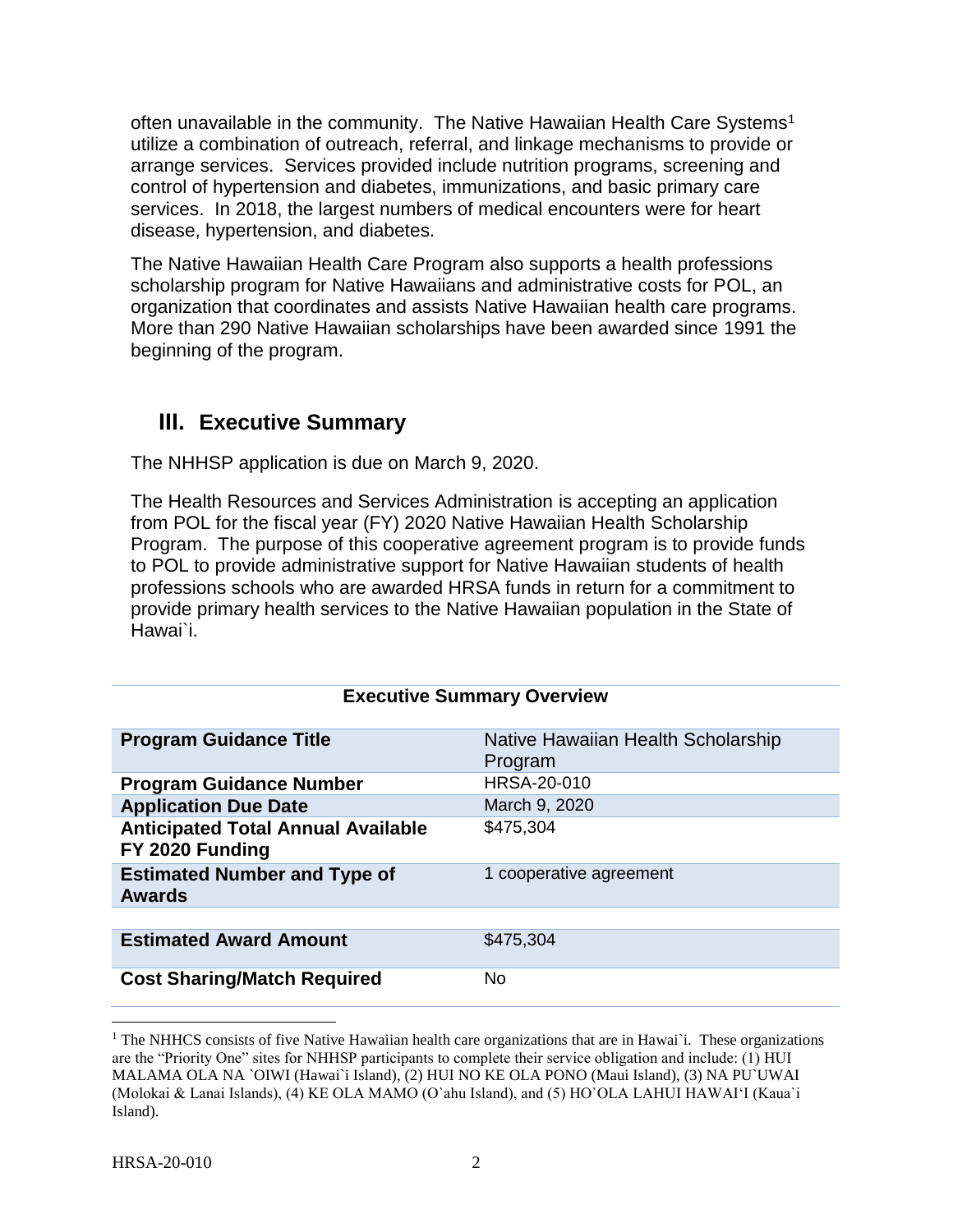often unavailable in the community. The Native Hawaiian Health Care Systems<sup>1</sup> utilize a combination of outreach, referral, and linkage mechanisms to provide or arrange services. Services provided include nutrition programs, screening and control of hypertension and diabetes, immunizations, and basic primary care services. In 2018, the largest numbers of medical encounters were for heart disease, hypertension, and diabetes.

The Native Hawaiian Health Care Program also supports a health professions scholarship program for Native Hawaiians and administrative costs for POL, an organization that coordinates and assists Native Hawaiian health care programs. More than 290 Native Hawaiian scholarships have been awarded since 1991 the beginning of the program.

# <span id="page-3-0"></span>**III. Executive Summary**

The NHHSP application is due on March 9, 2020.

The Health Resources and Services Administration is accepting an application from POL for the fiscal year (FY) 2020 Native Hawaiian Health Scholarship Program. The purpose of this cooperative agreement program is to provide funds to POL to provide administrative support for Native Hawaiian students of health professions schools who are awarded HRSA funds in return for a commitment to provide primary health services to the Native Hawaiian population in the State of Hawai`i.

### **Executive Summary Overview**

| <b>Program Guidance Title</b>                                | Native Hawaiian Health Scholarship<br>Program |
|--------------------------------------------------------------|-----------------------------------------------|
| <b>Program Guidance Number</b>                               | HRSA-20-010                                   |
| <b>Application Due Date</b>                                  | March 9, 2020                                 |
| <b>Anticipated Total Annual Available</b><br>FY 2020 Funding | \$475,304                                     |
| <b>Estimated Number and Type of</b><br><b>Awards</b>         | 1 cooperative agreement                       |
|                                                              |                                               |
| <b>Estimated Award Amount</b>                                | \$475,304                                     |
| <b>Cost Sharing/Match Required</b>                           | N <sub>0</sub>                                |

<sup>&</sup>lt;sup>1</sup> The NHHCS consists of five Native Hawaiian health care organizations that are in Hawai`i. These organizations are the "Priority One" sites for NHHSP participants to complete their service obligation and include: (1) HUI MALAMA OLA NA `OIWI (Hawai`i Island), (2) HUI NO KE OLA PONO (Maui Island), (3) NA PU`UWAI (Molokai & Lanai Islands), (4) KE OLA MAMO (O`ahu Island), and (5) HO`OLA LAHUI HAWAI'I (Kaua`i Island).

 $\overline{\phantom{a}}$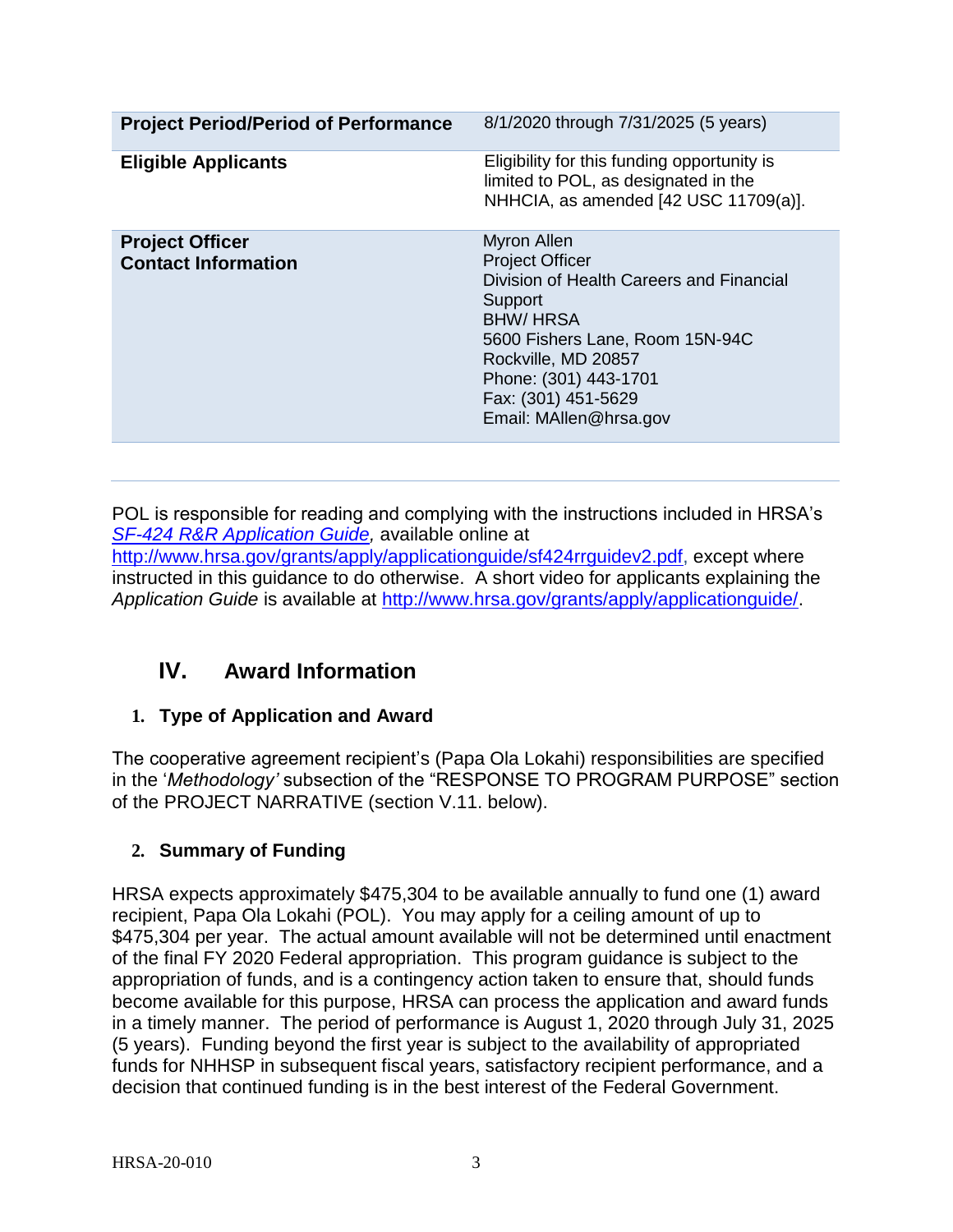| <b>Project Period/Period of Performance</b>          | 8/1/2020 through 7/31/2025 (5 years)                                                                                                                                                                                                                       |
|------------------------------------------------------|------------------------------------------------------------------------------------------------------------------------------------------------------------------------------------------------------------------------------------------------------------|
| <b>Eligible Applicants</b>                           | Eligibility for this funding opportunity is<br>limited to POL, as designated in the<br>NHHCIA, as amended [42 USC 11709(a)].                                                                                                                               |
| <b>Project Officer</b><br><b>Contact Information</b> | <b>Myron Allen</b><br><b>Project Officer</b><br>Division of Health Careers and Financial<br>Support<br><b>BHW/HRSA</b><br>5600 Fishers Lane, Room 15N-94C<br>Rockville, MD 20857<br>Phone: (301) 443-1701<br>Fax: (301) 451-5629<br>Email: MAllen@hrsa.gov |

POL is responsible for reading and complying with the instructions included in HRSA's *SF-424 [R&R Application Guide,](http://www.hrsa.gov/grants/apply/applicationguide/sf424rrguidev2.pdf)* available online at [http://www.hrsa.gov/grants/apply/applicationguide/sf424rrguidev2.pdf,](http://www.hrsa.gov/grants/apply/applicationguide/sf424rrguidev2.pdf) except where instructed in this guidance to do otherwise. A short video for applicants explaining the *Application Guide* is available at [http://www.hrsa.gov/grants/apply/applicationguide/.](http://www.hrsa.gov/grants/apply/applicationguide/)

# <span id="page-4-0"></span>**IV. Award Information**

# <span id="page-4-1"></span>**1. Type of Application and Award**

The cooperative agreement recipient's (Papa Ola Lokahi) responsibilities are specified in the '*Methodology'* subsection of the "RESPONSE TO PROGRAM PURPOSE" section of the PROJECT NARRATIVE (section V.11. below).

# <span id="page-4-2"></span>**2. Summary of Funding**

HRSA expects approximately \$475,304 to be available annually to fund one (1) award recipient, Papa Ola Lokahi (POL). You may apply for a ceiling amount of up to \$475,304 per year. The actual amount available will not be determined until enactment of the final FY 2020 Federal appropriation. This program guidance is subject to the appropriation of funds, and is a contingency action taken to ensure that, should funds become available for this purpose, HRSA can process the application and award funds in a timely manner. The period of performance is August 1, 2020 through July 31, 2025 (5 years). Funding beyond the first year is subject to the availability of appropriated funds for NHHSP in subsequent fiscal years, satisfactory recipient performance, and a decision that continued funding is in the best interest of the Federal Government.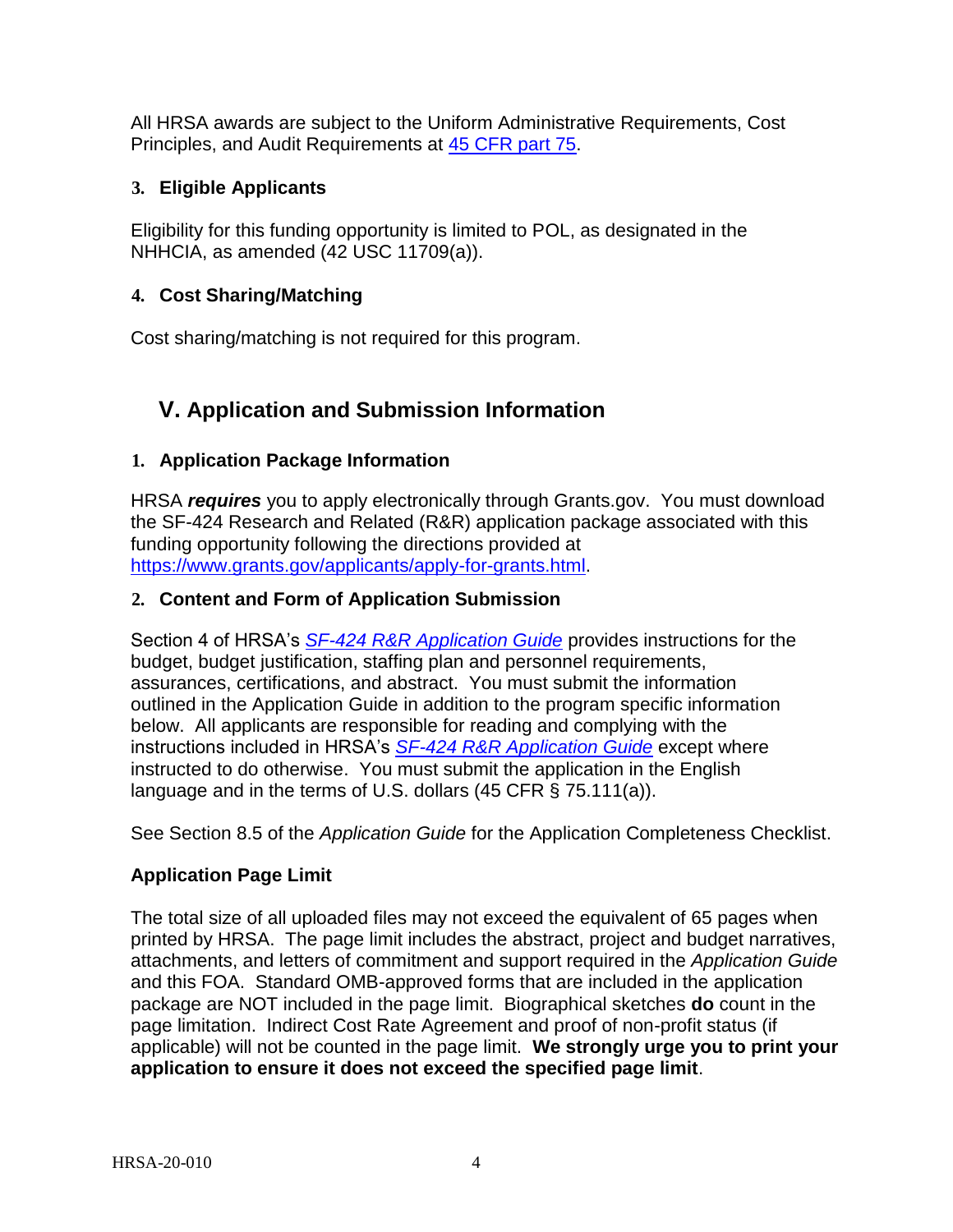All HRSA awards are subject to the Uniform Administrative Requirements, Cost Principles, and Audit Requirements at [45 CFR part 75.](http://www.ecfr.gov/cgi-bin/retrieveECFR?gp=1&SID=4d52364ec83fab994c665943dadf9cf7&ty=HTML&h=L&r=PART&n=pt45.1.75)

# <span id="page-5-0"></span>**3. Eligible Applicants**

Eligibility for this funding opportunity is limited to POL, as designated in the NHHCIA, as amended (42 USC 11709(a)).

# <span id="page-5-1"></span>**4. Cost Sharing/Matching**

Cost sharing/matching is not required for this program.

# <span id="page-5-2"></span>**V. Application and Submission Information**

# <span id="page-5-3"></span>**1. Application Package Information**

HRSA *requires* you to apply electronically through Grants.gov. You must download the SF-424 Research and Related (R&R) application package associated with this funding opportunity following the directions provided at [https://www.grants.gov/applicants/apply-for-grants.html.](https://www.grants.gov/applicants/apply-for-grants.html)

# <span id="page-5-4"></span>**2. Content and Form of Application Submission**

Section 4 of HRSA's *SF-424 R&R [Application Guide](http://www.hrsa.gov/grants/apply/applicationguide/sf424rrguidev2.pdf)* provides instructions for the budget, budget justification, staffing plan and personnel requirements, assurances, certifications, and abstract. You must submit the information outlined in the Application Guide in addition to the program specific information below. All applicants are responsible for reading and complying with the instructions included in HRSA's *SF-424 R&R [Application Guide](http://www.hrsa.gov/grants/apply/applicationguide/sf424rrguidev2.pdf)* except where instructed to do otherwise. You must submit the application in the English language and in the terms of U.S. dollars (45 CFR § 75.111(a)).

See Section 8.5 of the *Application Guide* for the Application Completeness Checklist.

# **Application Page Limit**

The total size of all uploaded files may not exceed the equivalent of 65 pages when printed by HRSA. The page limit includes the abstract, project and budget narratives, attachments, and letters of commitment and support required in the *Application Guide*  and this FOA. Standard OMB-approved forms that are included in the application package are NOT included in the page limit. Biographical sketches **do** count in the page limitation. Indirect Cost Rate Agreement and proof of non-profit status (if applicable) will not be counted in the page limit. **We strongly urge you to print your application to ensure it does not exceed the specified page limit**.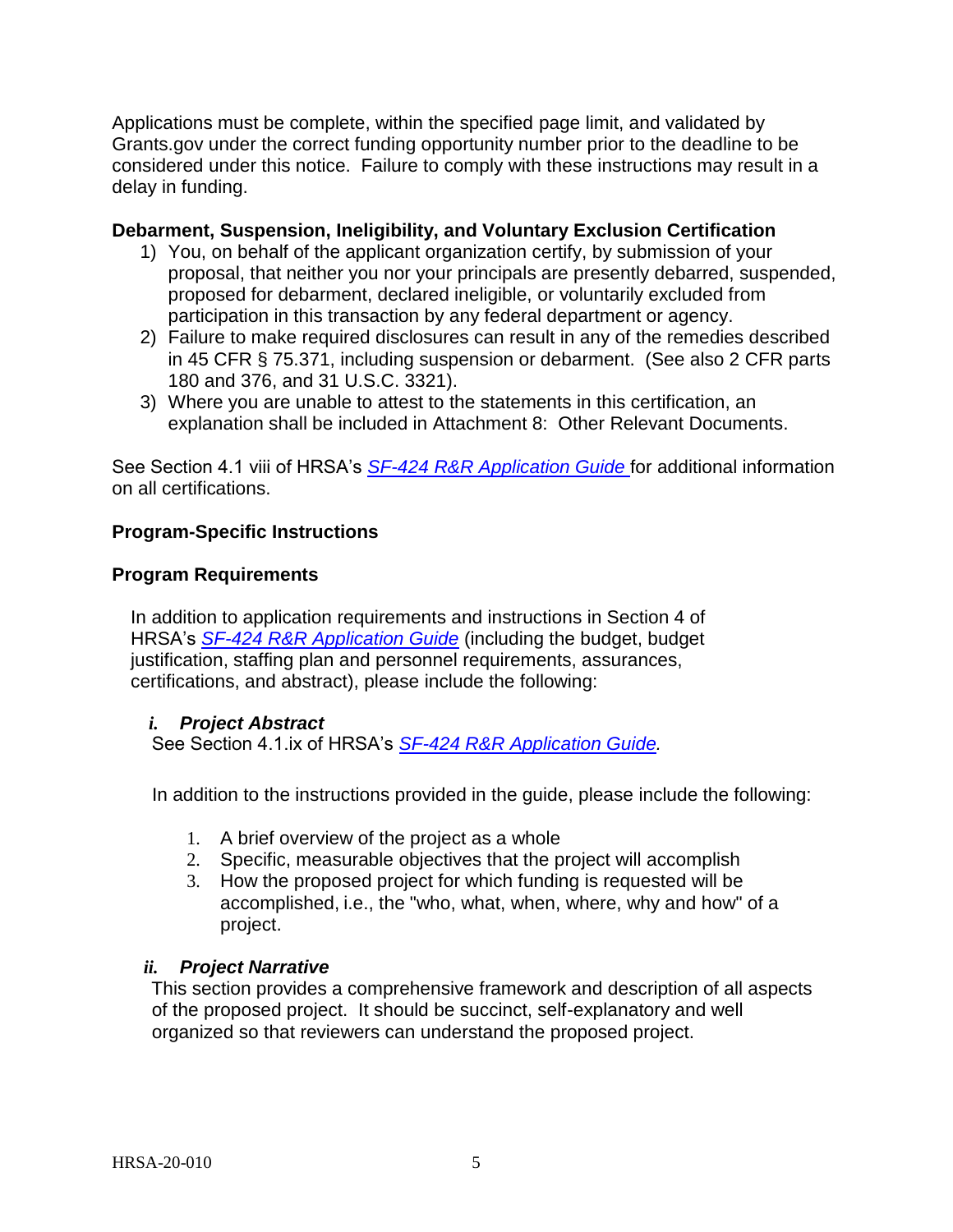Applications must be complete, within the specified page limit, and validated by Grants.gov under the correct funding opportunity number prior to the deadline to be considered under this notice. Failure to comply with these instructions may result in a delay in funding.

## **Debarment, Suspension, Ineligibility, and Voluntary Exclusion Certification**

- 1) You, on behalf of the applicant organization certify, by submission of your proposal, that neither you nor your principals are presently debarred, suspended, proposed for debarment, declared ineligible, or voluntarily excluded from participation in this transaction by any federal department or agency.
- 2) Failure to make required disclosures can result in any of the remedies described in 45 CFR § 75.371, including suspension or debarment. (See also 2 CFR parts 180 and 376, and 31 U.S.C. 3321).
- 3) Where you are unable to attest to the statements in this certification, an explanation shall be included in Attachment 8: Other Relevant Documents.

See Section 4.1 viii of HRSA's *SF-424 R&R [Application Guide](http://www.hrsa.gov/grants/apply/applicationguide/sf424rrguidev2.pdf)* for additional information on all certifications.

## **Program-Specific Instructions**

### **Program Requirements**

In addition to application requirements and instructions in Section 4 of HRSA's *SF-424 R&R [Application Guide](http://www.hrsa.gov/grants/apply/applicationguide/sf424rrguidev2.pdf)* (including the budget, budget justification, staffing plan and personnel requirements, assurances, certifications, and abstract), please include the following:

### *i. Project Abstract*

See Section 4.1.ix of HRSA's *SF-424 R&R [Application Guide](http://www.hrsa.gov/grants/apply/applicationguide/sf424rrguidev2.pdf)[.](http://www.hrsa.gov/grants/apply/applicationguide/sf424guide.pdf)*

In addition to the instructions provided in the guide, please include the following:

- 1. A brief overview of the project as a whole
- 2. Specific, measurable objectives that the project will accomplish
- 3. How the proposed project for which funding is requested will be accomplished, i.e., the "who, what, when, where, why and how" of a project.

### *ii. Project Narrative*

This section provides a comprehensive framework and description of all aspects of the proposed project. It should be succinct, self-explanatory and well organized so that reviewers can understand the proposed project.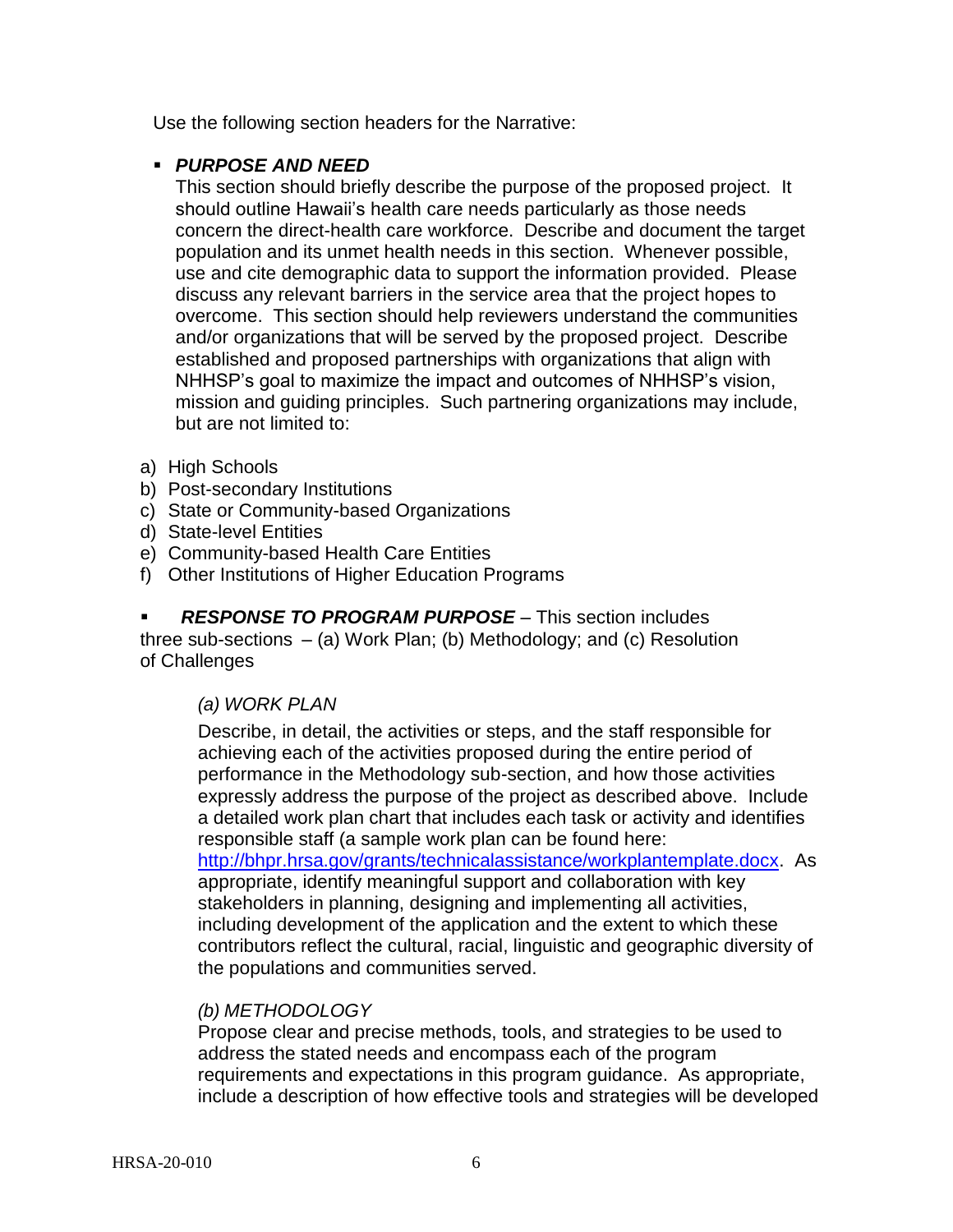Use the following section headers for the Narrative:

## *PURPOSE AND NEED*

This section should briefly describe the purpose of the proposed project. It should outline Hawaii's health care needs particularly as those needs concern the direct-health care workforce. Describe and document the target population and its unmet health needs in this section. Whenever possible, use and cite demographic data to support the information provided. Please discuss any relevant barriers in the service area that the project hopes to overcome. This section should help reviewers understand the communities and/or organizations that will be served by the proposed project. Describe established and proposed partnerships with organizations that align with NHHSP's goal to maximize the impact and outcomes of NHHSP's vision, mission and guiding principles. Such partnering organizations may include, but are not limited to:

- a) High Schools
- b) Post-secondary Institutions
- c) State or Community-based Organizations
- d) State-level Entities
- e) Community-based Health Care Entities
- f) Other Institutions of Higher Education Programs

 *RESPONSE TO PROGRAM PURPOSE* – This section includes three sub-sections – (a) Work Plan; (b) Methodology; and (c) Resolution of Challenges

# *(a) WORK PLAN*

Describe, in detail, the activities or steps, and the staff responsible for achieving each of the activities proposed during the entire period of performance in the Methodology sub-section, and how those activities expressly address the purpose of the project as described above. Include a detailed work plan chart that includes each task or activity and identifies responsible staff (a sample work plan can be found here: [http://bhpr.hrsa.gov/grants/technicalassistance/workplantemplate.docx.](http://bhpr.hrsa.gov/grants/technicalassistance/workplantemplate.docx) As

appropriate, identify meaningful support and collaboration with key stakeholders in planning, designing and implementing all activities, including development of the application and the extent to which these contributors reflect the cultural, racial, linguistic and geographic diversity of the populations and communities served.

### *(b) METHODOLOGY*

Propose clear and precise methods, tools, and strategies to be used to address the stated needs and encompass each of the program requirements and expectations in this program guidance. As appropriate, include a description of how effective tools and strategies will be developed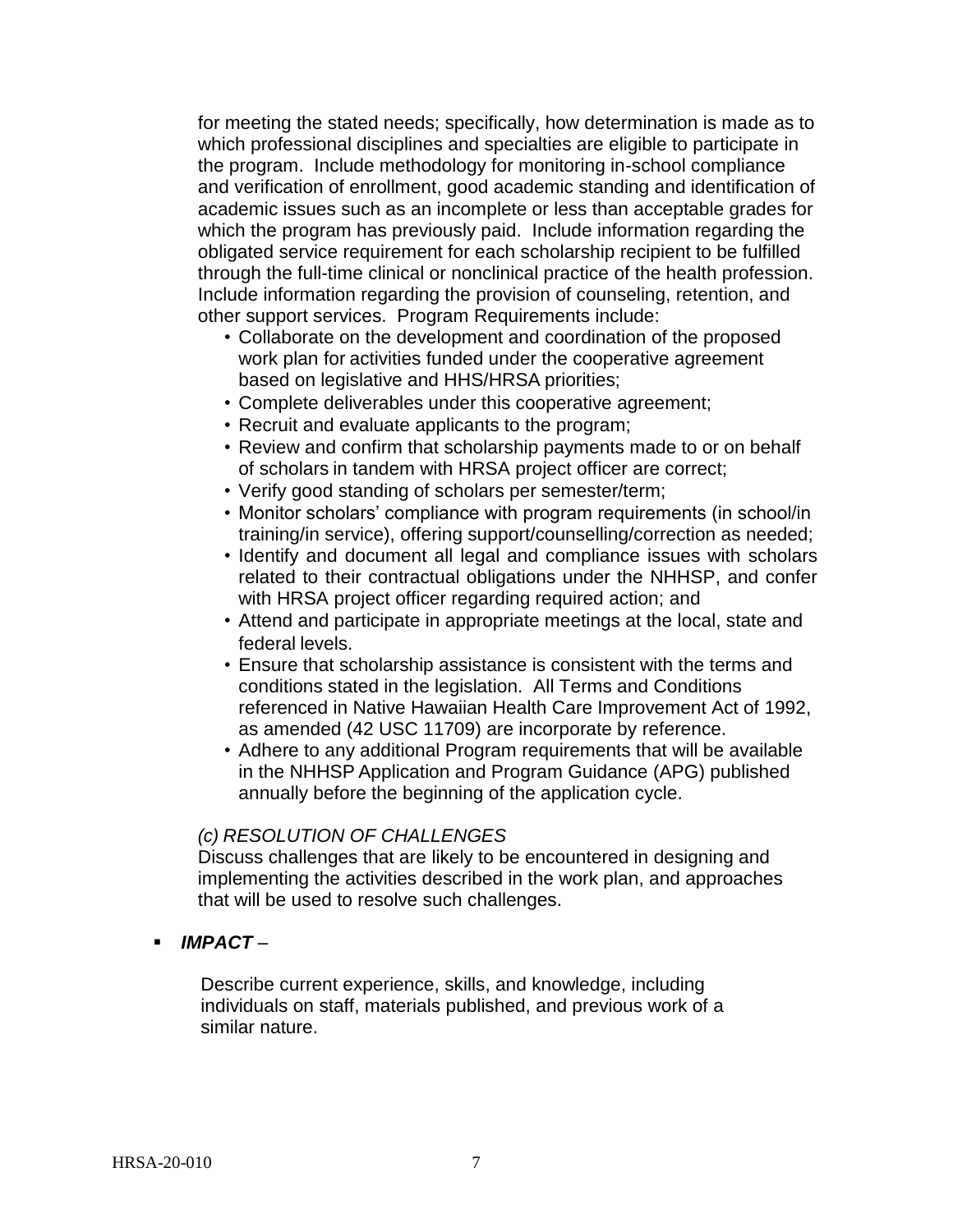for meeting the stated needs; specifically, how determination is made as to which professional disciplines and specialties are eligible to participate in the program. Include methodology for monitoring in-school compliance and verification of enrollment, good academic standing and identification of academic issues such as an incomplete or less than acceptable grades for which the program has previously paid. Include information regarding the obligated service requirement for each scholarship recipient to be fulfilled through the full-time clinical or nonclinical practice of the health profession. Include information regarding the provision of counseling, retention, and other support services. Program Requirements include:

- Collaborate on the development and coordination of the proposed work plan for activities funded under the cooperative agreement based on legislative and HHS/HRSA priorities;
- Complete deliverables under this cooperative agreement;
- Recruit and evaluate applicants to the program;
- Review and confirm that scholarship payments made to or on behalf of scholars in tandem with HRSA project officer are correct;
- Verify good standing of scholars per semester/term;
- Monitor scholars' compliance with program requirements (in school/in training/in service), offering support/counselling/correction as needed;
- Identify and document all legal and compliance issues with scholars related to their contractual obligations under the NHHSP, and confer with HRSA project officer regarding required action; and
- Attend and participate in appropriate meetings at the local, state and federal levels.
- Ensure that scholarship assistance is consistent with the terms and conditions stated in the legislation. All Terms and Conditions referenced in Native Hawaiian Health Care Improvement Act of 1992, as amended (42 USC 11709) are incorporate by reference.
- Adhere to any additional Program requirements that will be available in the NHHSP Application and Program Guidance (APG) published annually before the beginning of the application cycle.

#### *(c) RESOLUTION OF CHALLENGES*

Discuss challenges that are likely to be encountered in designing and implementing the activities described in the work plan, and approaches that will be used to resolve such challenges.

*IMPACT* –

Describe current experience, skills, and knowledge, including individuals on staff, materials published, and previous work of a similar nature.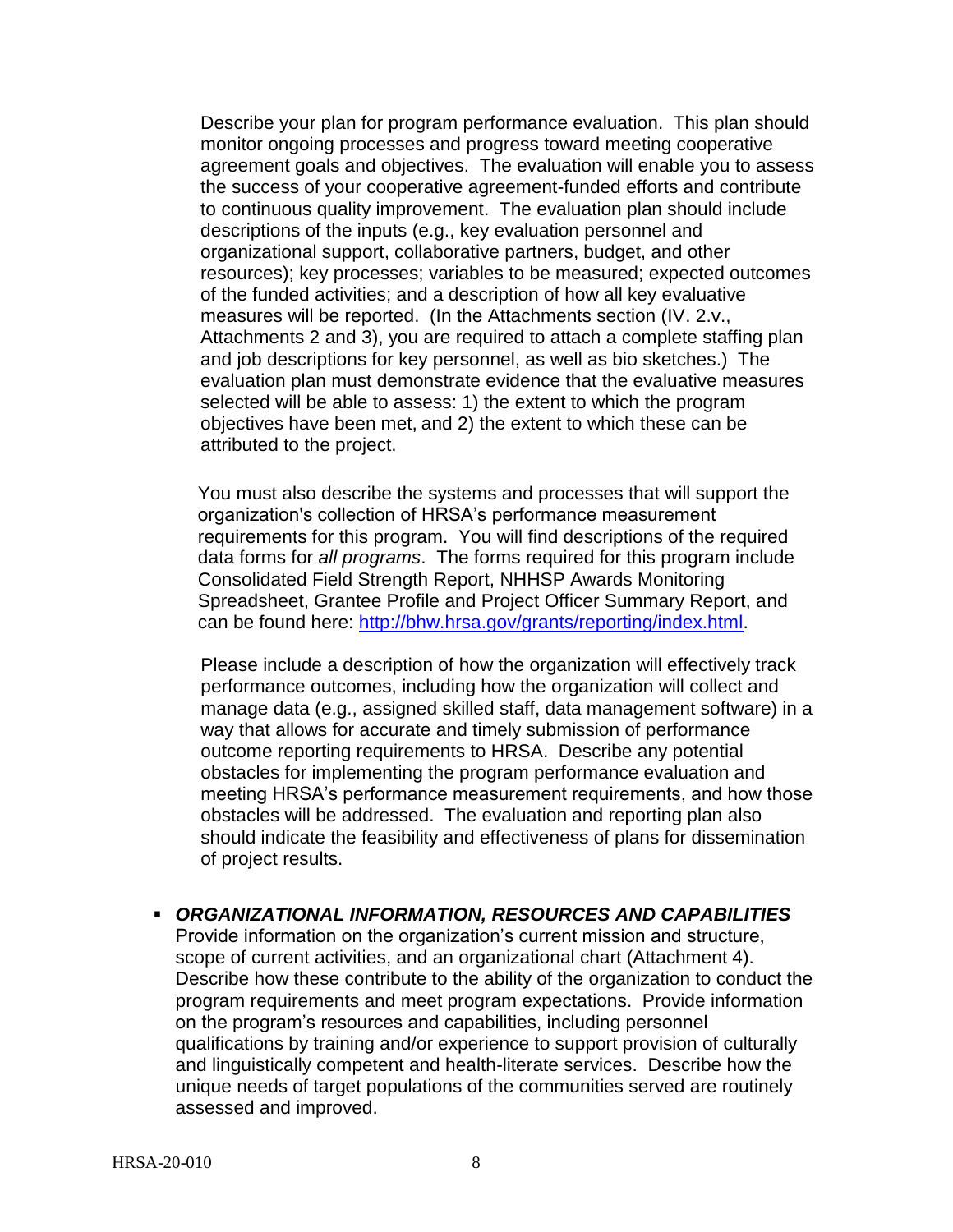Describe your plan for program performance evaluation. This plan should monitor ongoing processes and progress toward meeting cooperative agreement goals and objectives. The evaluation will enable you to assess the success of your cooperative agreement-funded efforts and contribute to continuous quality improvement. The evaluation plan should include descriptions of the inputs (e.g., key evaluation personnel and organizational support, collaborative partners, budget, and other resources); key processes; variables to be measured; expected outcomes of the funded activities; and a description of how all key evaluative measures will be reported. (In the Attachments section (IV. 2.v., Attachments 2 and 3), you are required to attach a complete staffing plan and job descriptions for key personnel, as well as bio sketches.) The evaluation plan must demonstrate evidence that the evaluative measures selected will be able to assess: 1) the extent to which the program objectives have been met, and 2) the extent to which these can be attributed to the project.

You must also describe the systems and processes that will support the organization's collection of HRSA's performance measurement requirements for this program. You will find descriptions of the required data forms for *all programs*. The forms required for this program include Consolidated Field Strength Report, NHHSP Awards Monitoring Spreadsheet, Grantee Profile and Project Officer Summary Report, and can be found here: [http://bhw.hrsa.gov/grants/reporting/index.html.](http://bhw.hrsa.gov/grants/reporting/index.html)

Please include a description of how the organization will effectively track performance outcomes, including how the organization will collect and manage data (e.g., assigned skilled staff, data management software) in a way that allows for accurate and timely submission of performance outcome reporting requirements to HRSA. Describe any potential obstacles for implementing the program performance evaluation and meeting HRSA's performance measurement requirements, and how those obstacles will be addressed. The evaluation and reporting plan also should indicate the feasibility and effectiveness of plans for dissemination of project results.

 *ORGANIZATIONAL INFORMATION, RESOURCES AND CAPABILITIES* Provide information on the organization's current mission and structure, scope of current activities, and an organizational chart (Attachment 4). Describe how these contribute to the ability of the organization to conduct the program requirements and meet program expectations. Provide information on the program's resources and capabilities, including personnel qualifications by training and/or experience to support provision of culturally and linguistically competent and health-literate services. Describe how the unique needs of target populations of the communities served are routinely assessed and improved.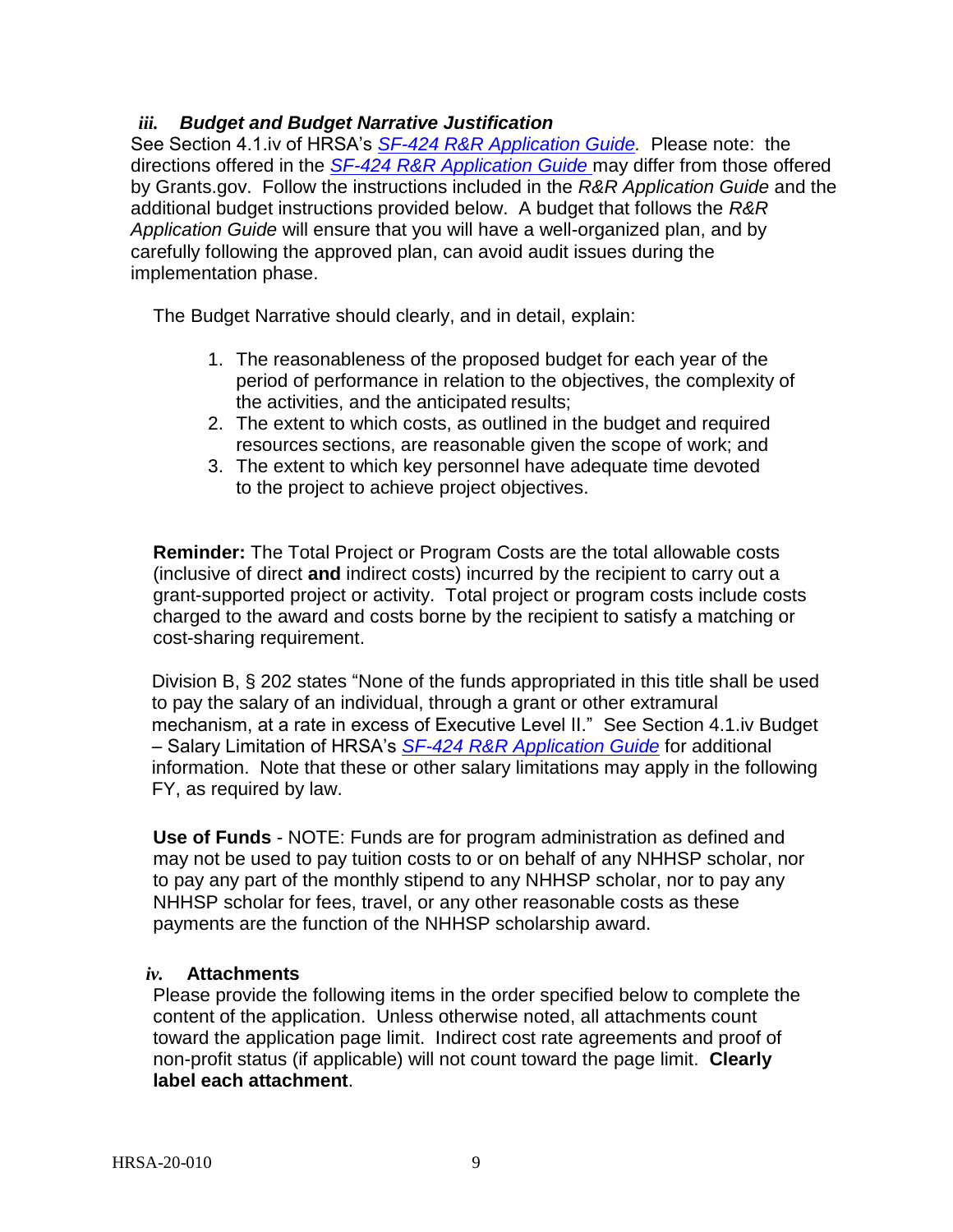## *iii. Budget and Budget Narrative Justification*

See Section 4.1.iv of HRSA's *SF-424 R&R [Application Guide.](http://www.hrsa.gov/grants/apply/applicationguide/sf424rrguidev2.pdf)* Please note: the directions offered in the *SF-424 R&R [Application Guide](http://www.hrsa.gov/grants/apply/applicationguide/sf424rrguidev2.pdf)* may differ from those offered by Grants.gov. Follow the instructions included in the *R&R Application Guide* and the additional budget instructions provided below. A budget that follows the *R&R Application Guide* will ensure that you will have a well-organized plan, and by carefully following the approved plan, can avoid audit issues during the implementation phase.

The Budget Narrative should clearly, and in detail, explain:

- 1. The reasonableness of the proposed budget for each year of the period of performance in relation to the objectives, the complexity of the activities, and the anticipated results;
- 2. The extent to which costs, as outlined in the budget and required resources sections, are reasonable given the scope of work; and
- 3. The extent to which key personnel have adequate time devoted to the project to achieve project objectives.

**Reminder:** The Total Project or Program Costs are the total allowable costs (inclusive of direct **and** indirect costs) incurred by the recipient to carry out a grant-supported project or activity. Total project or program costs include costs charged to the award and costs borne by the recipient to satisfy a matching or cost-sharing requirement.

Division B, § 202 states "None of the funds appropriated in this title shall be used to pay the salary of an individual, through a grant or other extramural mechanism, at a rate in excess of Executive Level II." See Section 4.1.iv Budget – Salary Limitation of HRSA's *SF-424 [R&R Application Guide](http://www.hrsa.gov/grants/apply/applicationguide/sf424rrguidev2.pdf)* for additional information. Note that these or other salary limitations may apply in the following FY, as required by law.

**Use of Funds** - NOTE: Funds are for program administration as defined and may not be used to pay tuition costs to or on behalf of any NHHSP scholar, nor to pay any part of the monthly stipend to any NHHSP scholar, nor to pay any NHHSP scholar for fees, travel, or any other reasonable costs as these payments are the function of the NHHSP scholarship award.

### *iv.* **Attachments**

Please provide the following items in the order specified below to complete the content of the application. Unless otherwise noted, all attachments count toward the application page limit. Indirect cost rate agreements and proof of non-profit status (if applicable) will not count toward the page limit. **Clearly label each attachment**.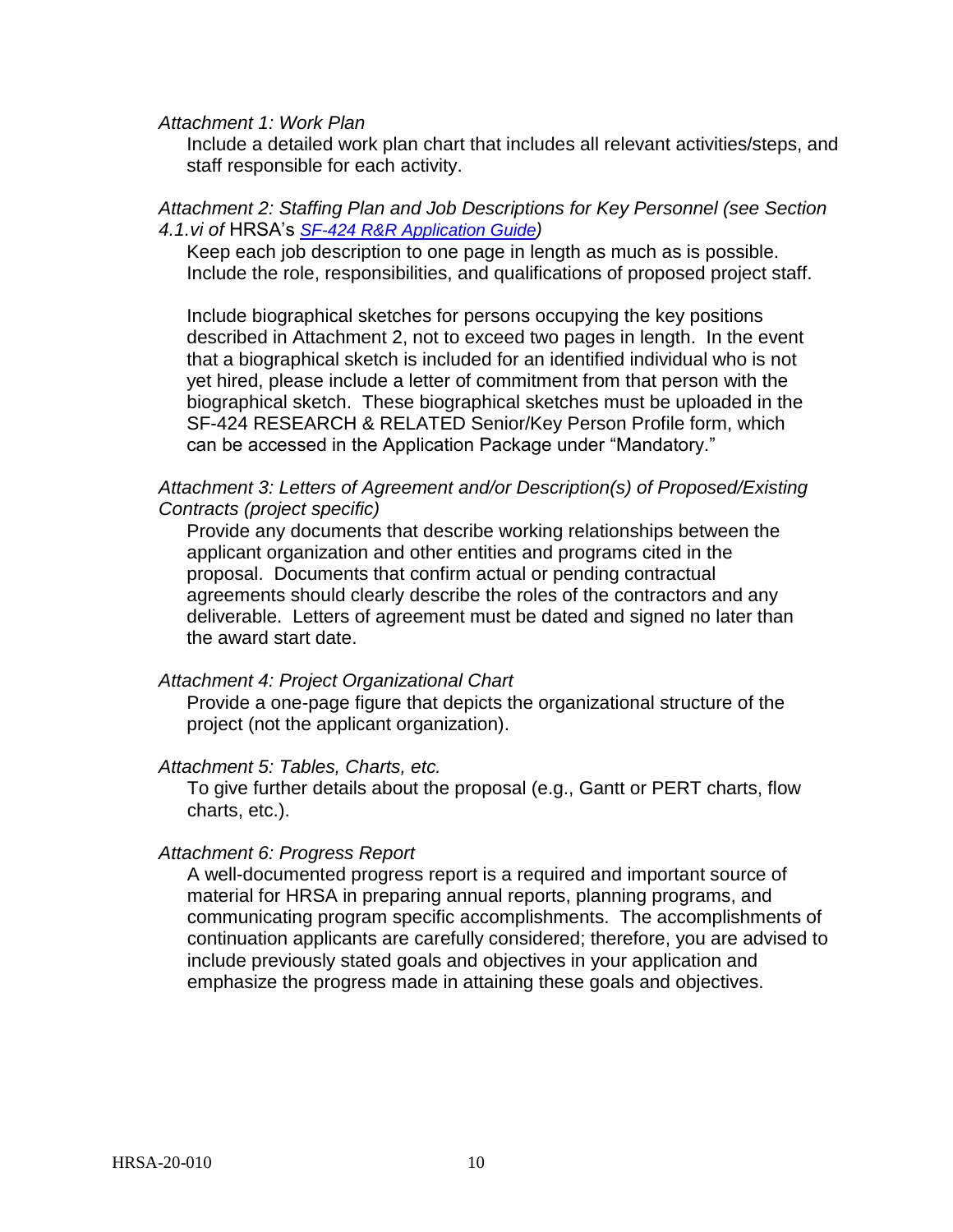*Attachment 1: Work Plan*

Include a detailed work plan chart that includes all relevant activities/steps, and staff responsible for each activity.

#### *Attachment 2: Staffing Plan and Job Descriptions for Key Personnel (see Section 4.1.vi of* HRSA's *SF-424 R&R [Application Guide](http://www.hrsa.gov/grants/apply/applicationguide/sf424rrguidev2.pdf))*

Keep each job description to one page in length as much as is possible. Include the role, responsibilities, and qualifications of proposed project staff.

Include biographical sketches for persons occupying the key positions described in Attachment 2, not to exceed two pages in length. In the event that a biographical sketch is included for an identified individual who is not yet hired, please include a letter of commitment from that person with the biographical sketch. These biographical sketches must be uploaded in the SF-424 RESEARCH & RELATED Senior/Key Person Profile form, which can be accessed in the Application Package under "Mandatory."

#### *Attachment 3: Letters of Agreement and/or Description(s) of Proposed/Existing Contracts (project specific)*

Provide any documents that describe working relationships between the applicant organization and other entities and programs cited in the proposal. Documents that confirm actual or pending contractual agreements should clearly describe the roles of the contractors and any deliverable. Letters of agreement must be dated and signed no later than the award start date.

#### *Attachment 4: Project Organizational Chart*

Provide a one-page figure that depicts the organizational structure of the project (not the applicant organization).

#### *Attachment 5: Tables, Charts, etc.*

To give further details about the proposal (e.g., Gantt or PERT charts, flow charts, etc.).

#### *Attachment 6: Progress Report*

A well-documented progress report is a required and important source of material for HRSA in preparing annual reports, planning programs, and communicating program specific accomplishments. The accomplishments of continuation applicants are carefully considered; therefore, you are advised to include previously stated goals and objectives in your application and emphasize the progress made in attaining these goals and objectives.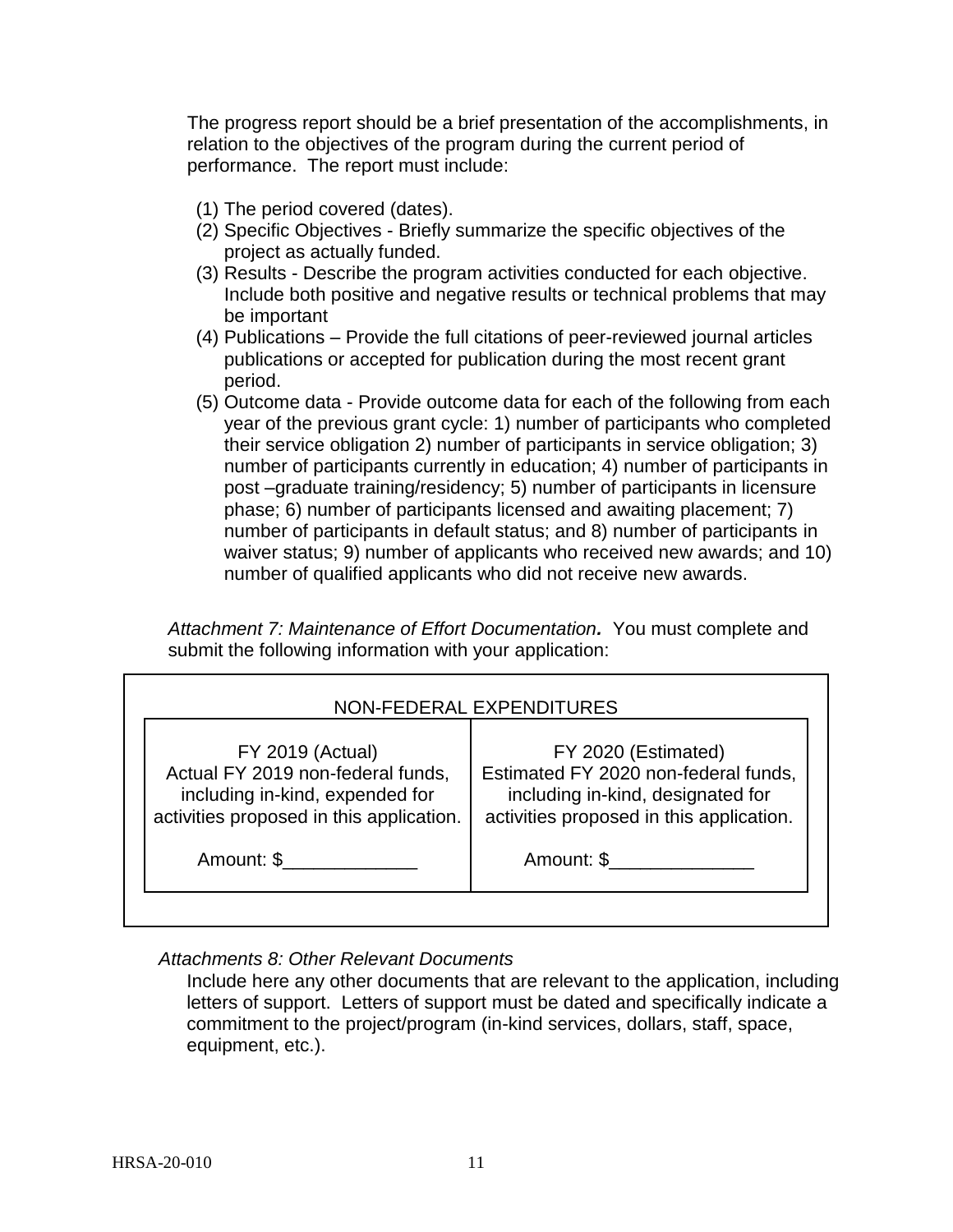The progress report should be a brief presentation of the accomplishments, in relation to the objectives of the program during the current period of performance. The report must include:

- (1) The period covered (dates).
- (2) Specific Objectives Briefly summarize the specific objectives of the project as actually funded.
- (3) Results Describe the program activities conducted for each objective. Include both positive and negative results or technical problems that may be important
- (4) Publications Provide the full citations of peer-reviewed journal articles publications or accepted for publication during the most recent grant period.
- (5) Outcome data Provide outcome data for each of the following from each year of the previous grant cycle: 1) number of participants who completed their service obligation 2) number of participants in service obligation; 3) number of participants currently in education; 4) number of participants in post –graduate training/residency; 5) number of participants in licensure phase; 6) number of participants licensed and awaiting placement; 7) number of participants in default status; and 8) number of participants in waiver status; 9) number of applicants who received new awards; and 10) number of qualified applicants who did not receive new awards.

*Attachment 7: Maintenance of Effort Documentation.* You must complete and submit the following information with your application:

| NON-FEDERAL EXPENDITURES                                                                                                                    |                                                                                                                                              |  |  |  |
|---------------------------------------------------------------------------------------------------------------------------------------------|----------------------------------------------------------------------------------------------------------------------------------------------|--|--|--|
| <b>FY 2019 (Actual)</b><br>Actual FY 2019 non-federal funds,<br>including in-kind, expended for<br>activities proposed in this application. | FY 2020 (Estimated)<br>Estimated FY 2020 non-federal funds,<br>including in-kind, designated for<br>activities proposed in this application. |  |  |  |
| Amount: \$                                                                                                                                  | Amount: \$                                                                                                                                   |  |  |  |
|                                                                                                                                             |                                                                                                                                              |  |  |  |

# *Attachments 8: Other Relevant Documents*

Include here any other documents that are relevant to the application, including letters of support. Letters of support must be dated and specifically indicate a commitment to the project/program (in-kind services, dollars, staff, space, equipment, etc.).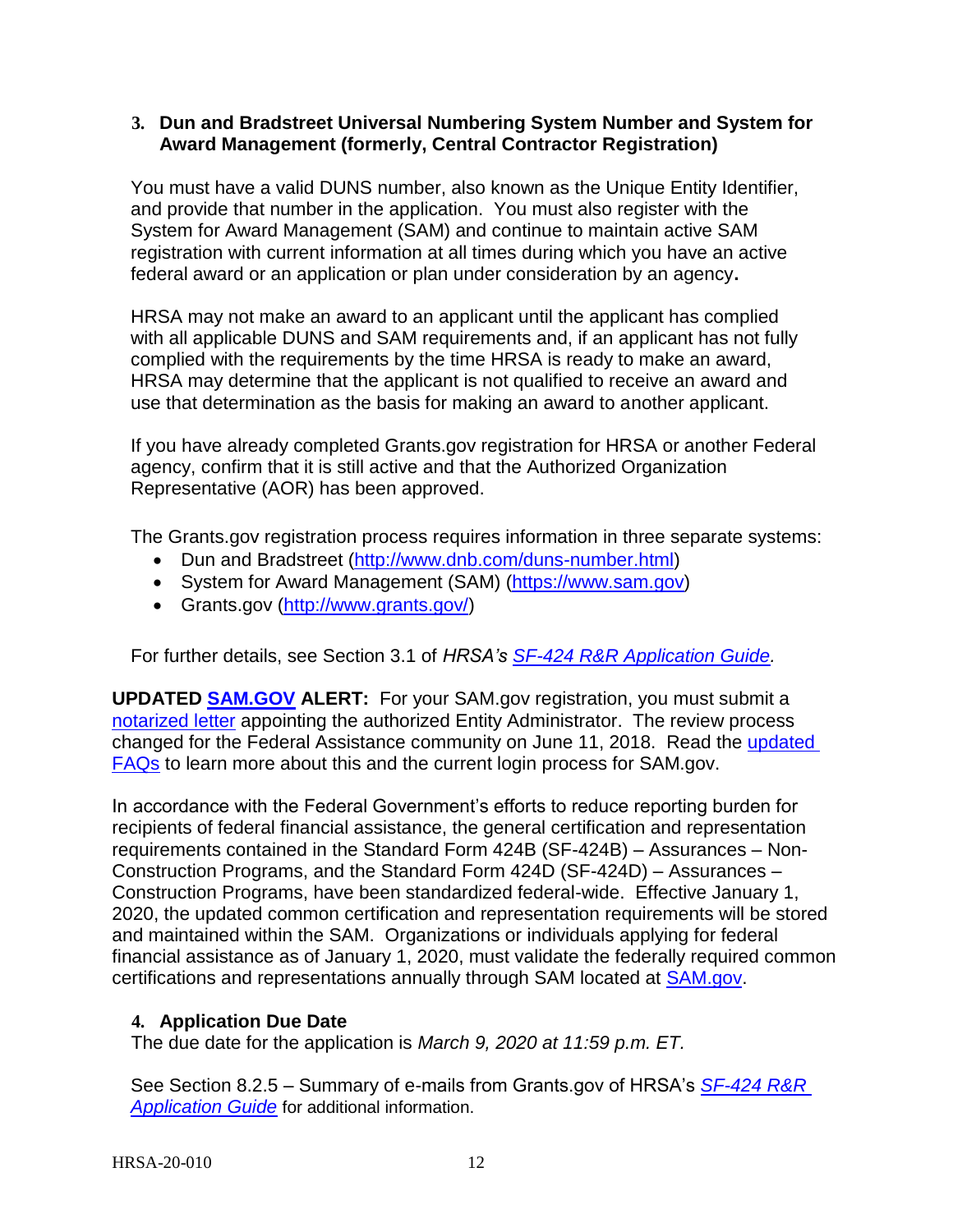### <span id="page-13-0"></span>**3. Dun and Bradstreet Universal Numbering System Number and System for Award Management (formerly, Central Contractor Registration)**

You must have a valid DUNS number, also known as the Unique Entity Identifier, and provide that number in the application. You must also register with the System for Award Management (SAM) and continue to maintain active SAM registration with current information at all times during which you have an active federal award or an application or plan under consideration by an agency**.**

HRSA may not make an award to an applicant until the applicant has complied with all applicable DUNS and SAM requirements and, if an applicant has not fully complied with the requirements by the time HRSA is ready to make an award, HRSA may determine that the applicant is not qualified to receive an award and use that determination as the basis for making an award to another applicant.

If you have already completed Grants.gov registration for HRSA or another Federal agency, confirm that it is still active and that the Authorized Organization Representative (AOR) has been approved.

The Grants.gov registration process requires information in three separate systems:

- Dun and Bradstreet [\(http://www.dnb.com/duns-number.html\)](http://www.dnb.com/duns-number.html)
- System for Award Management (SAM) [\(https://www.sam.gov\)](https://www.sam.gov/)
- Grants.gov [\(http://www.grants.gov/\)](http://www.grants.gov/)

For further details, see Section 3.1 of *HRSA's [SF-424 R&R Application Guide](http://www.hrsa.gov/grants/apply/applicationguide/sf424rrguidev2.pdf)[.](http://www.hrsa.gov/grants/apply/applicationguide/sf424guide.pdf)*

**UPDATED [SAM.GOV](http://sam.gov/) ALERT:** For your SAM.gov registration, you must submit a [notarized letter](https://www.fsd.gov/fsd-gov/answer.do?sysparm_kbid=d2e67885db0d5f00b3257d321f96194b&sysparm_search=kb0013183) appointing the authorized Entity Administrator. The review process changed for the Federal Assistance community on June 11, 2018. Read the [updated](https://www.gsa.gov/about-us/organization/federal-acquisition-service/office-of-systems-management/integrated-award-environment-iae/sam-update)  [FAQs](https://www.gsa.gov/about-us/organization/federal-acquisition-service/office-of-systems-management/integrated-award-environment-iae/sam-update) to learn more about this and the current login process for SAM.gov.

In accordance with the Federal Government's efforts to reduce reporting burden for recipients of federal financial assistance, the general certification and representation requirements contained in the Standard Form 424B (SF-424B) – Assurances – Non-Construction Programs, and the Standard Form 424D (SF-424D) – Assurances – Construction Programs, have been standardized federal-wide. Effective January 1, 2020, the updated common certification and representation requirements will be stored and maintained within the SAM. Organizations or individuals applying for federal financial assistance as of January 1, 2020, must validate the federally required common certifications and representations annually through SAM located at [SAM.gov.](https://www.sam.gov/SAM/)

### <span id="page-13-1"></span>**4. Application Due Date**

The due date for the application is *March 9, 2020 at 11:59 p.m. ET.*

See Section 8.2.5 – Summary of e-mails from Grants.gov of HRSA's *[SF-424 R&R](http://www.hrsa.gov/grants/apply/applicationguide/sf424rrguidev2.pdf)  [Application Guide](http://www.hrsa.gov/grants/apply/applicationguide/sf424rrguidev2.pdf)* for additional information.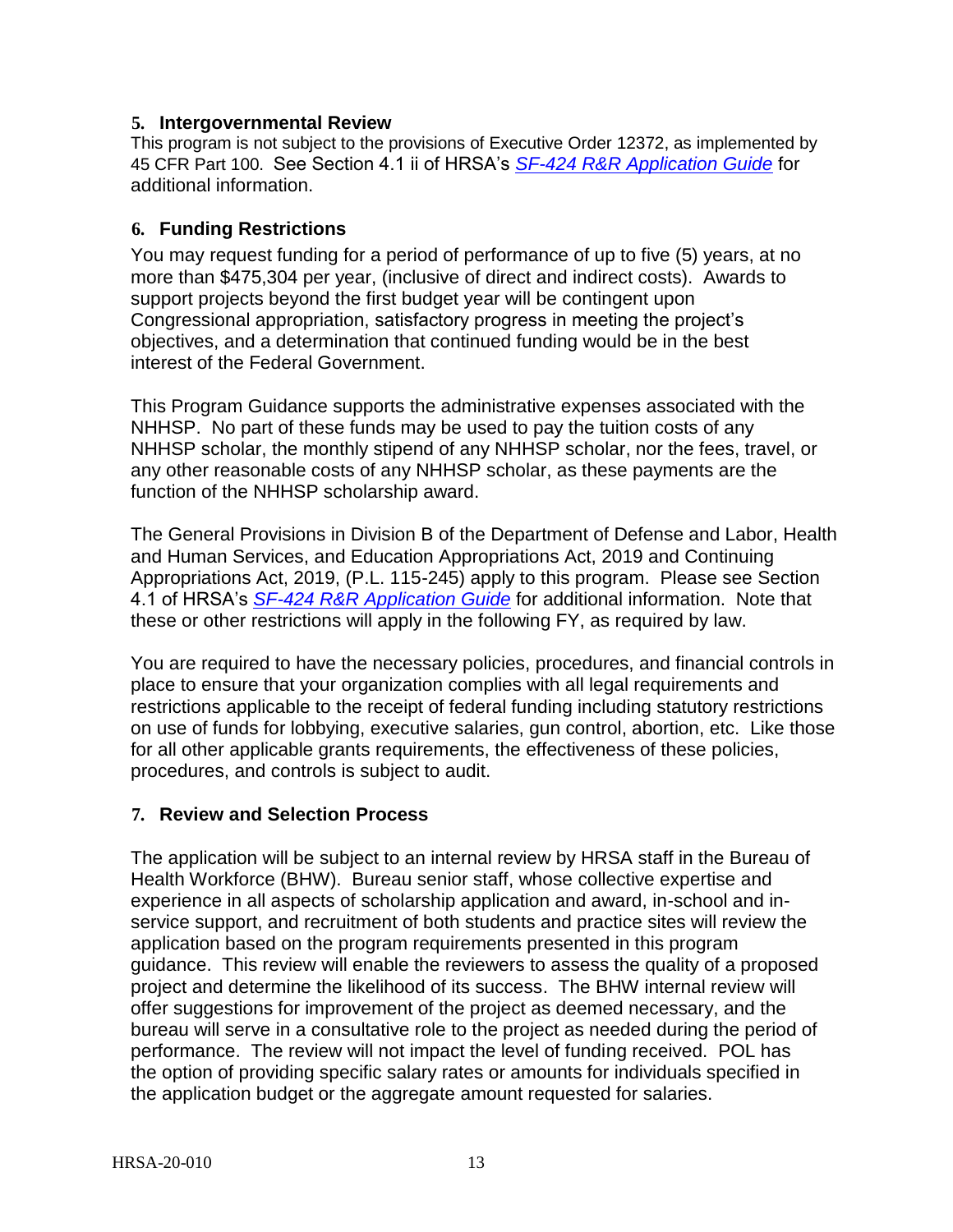### <span id="page-14-0"></span>**5. Intergovernmental Review**

This program is not subject to the provisions of Executive Order 12372, as implemented by 45 CFR Part 100. See Section 4.1 ii of HRSA's *[SF-424 R&R Application Guide](http://www.hrsa.gov/grants/apply/applicationguide/sf424rrguidev2.pdf)* for additional information.

## <span id="page-14-1"></span>**6. Funding Restrictions**

You may request funding for a period of performance of up to five (5) years, at no more than \$475,304 per year, (inclusive of direct and indirect costs). Awards to support projects beyond the first budget year will be contingent upon Congressional appropriation, satisfactory progress in meeting the project's objectives, and a determination that continued funding would be in the best interest of the Federal Government.

This Program Guidance supports the administrative expenses associated with the NHHSP. No part of these funds may be used to pay the tuition costs of any NHHSP scholar, the monthly stipend of any NHHSP scholar, nor the fees, travel, or any other reasonable costs of any NHHSP scholar, as these payments are the function of the NHHSP scholarship award.

The General Provisions in Division B of the Department of Defense and Labor, Health and Human Services, and Education Appropriations Act, 2019 and Continuing Appropriations Act, 2019, (P.L. 115-245) apply to this program. Please see Section 4.1 of HRSA's *SF-424 R&R [Application Guide](http://www.hrsa.gov/grants/apply/applicationguide/sf424rrguidev2.pdf)* for additional information. Note that these or other restrictions will apply in the following FY, as required by law.

You are required to have the necessary policies, procedures, and financial controls in place to ensure that your organization complies with all legal requirements and restrictions applicable to the receipt of federal funding including statutory restrictions on use of funds for lobbying, executive salaries, gun control, abortion, etc. Like those for all other applicable grants requirements, the effectiveness of these policies, procedures, and controls is subject to audit.

# <span id="page-14-2"></span>**7. Review and Selection Process**

The application will be subject to an internal review by HRSA staff in the Bureau of Health Workforce (BHW). Bureau senior staff, whose collective expertise and experience in all aspects of scholarship application and award, in-school and inservice support, and recruitment of both students and practice sites will review the application based on the program requirements presented in this program guidance. This review will enable the reviewers to assess the quality of a proposed project and determine the likelihood of its success. The BHW internal review will offer suggestions for improvement of the project as deemed necessary, and the bureau will serve in a consultative role to the project as needed during the period of performance. The review will not impact the level of funding received. POL has the option of providing specific salary rates or amounts for individuals specified in the application budget or the aggregate amount requested for salaries.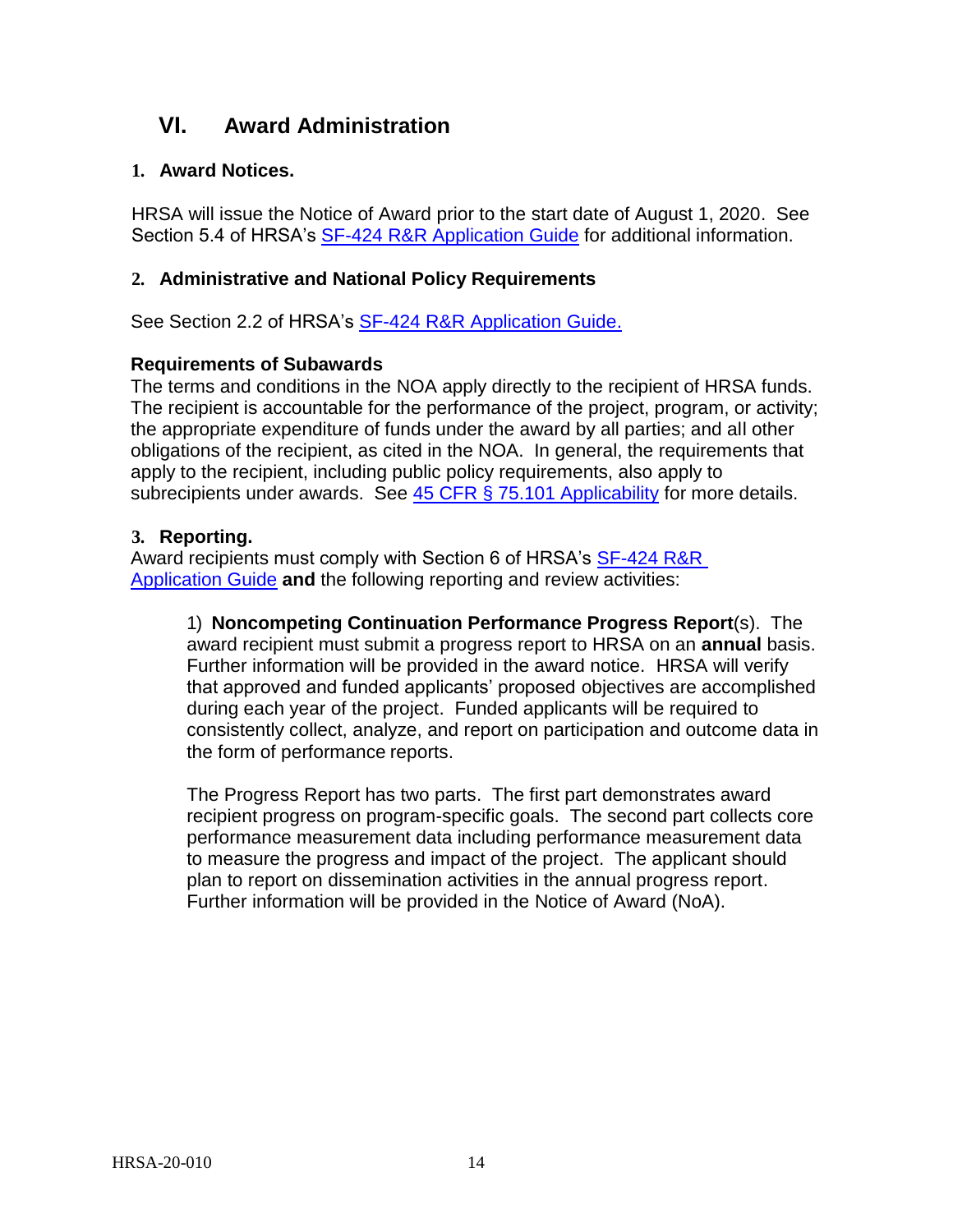# <span id="page-15-0"></span>**VI. Award Administration**

## <span id="page-15-1"></span>**1. Award Notices.**

HRSA will issue the Notice of Award prior to the start date of August 1, 2020. See Section 5.4 of HRSA's [SF-424 R&R Application Guide](http://www.hrsa.gov/grants/apply/applicationguide/sf424rrguidev2.pdf) for additional information.

## <span id="page-15-2"></span>**2. Administrative and National Policy Requirements**

See Section 2.2 of HRSA's [SF-424 R&R Application Guide.](http://www.hrsa.gov/grants/apply/applicationguide/sf424rrguidev2.pdf)

## **Requirements of Subawards**

The terms and conditions in the NOA apply directly to the recipient of HRSA funds. The recipient is accountable for the performance of the project, program, or activity; the appropriate expenditure of funds under the award by all parties; and all other obligations of the recipient, as cited in the NOA. In general, the requirements that apply to the recipient, including public policy requirements, also apply to subrecipients under awards. See [45 CFR § 75.101 Applicability](https://www.ecfr.gov/cgi-bin/retrieveECFR?gp=1&SID=4d52364ec83fab994c665943dadf9cf7&ty=HTML&h=L&r=PART&n=pt45.1.75) for more details.

### <span id="page-15-3"></span>**3. Reporting.**

Award recipients must comply with Section 6 of HRSA's SF-424 R&R [Application Guide](http://www.hrsa.gov/grants/apply/applicationguide/sf424rrguidev2.pdf) **and** the following reporting and review activities:

1) **Noncompeting Continuation Performance Progress Report**(s). The award recipient must submit a progress report to HRSA on an **annual** basis. Further information will be provided in the award notice. HRSA will verify that approved and funded applicants' proposed objectives are accomplished during each year of the project. Funded applicants will be required to consistently collect, analyze, and report on participation and outcome data in the form of performance reports.

The Progress Report has two parts. The first part demonstrates award recipient progress on program-specific goals. The second part collects core performance measurement data including performance measurement data to measure the progress and impact of the project. The applicant should plan to report on dissemination activities in the annual progress report. Further information will be provided in the Notice of Award (NoA).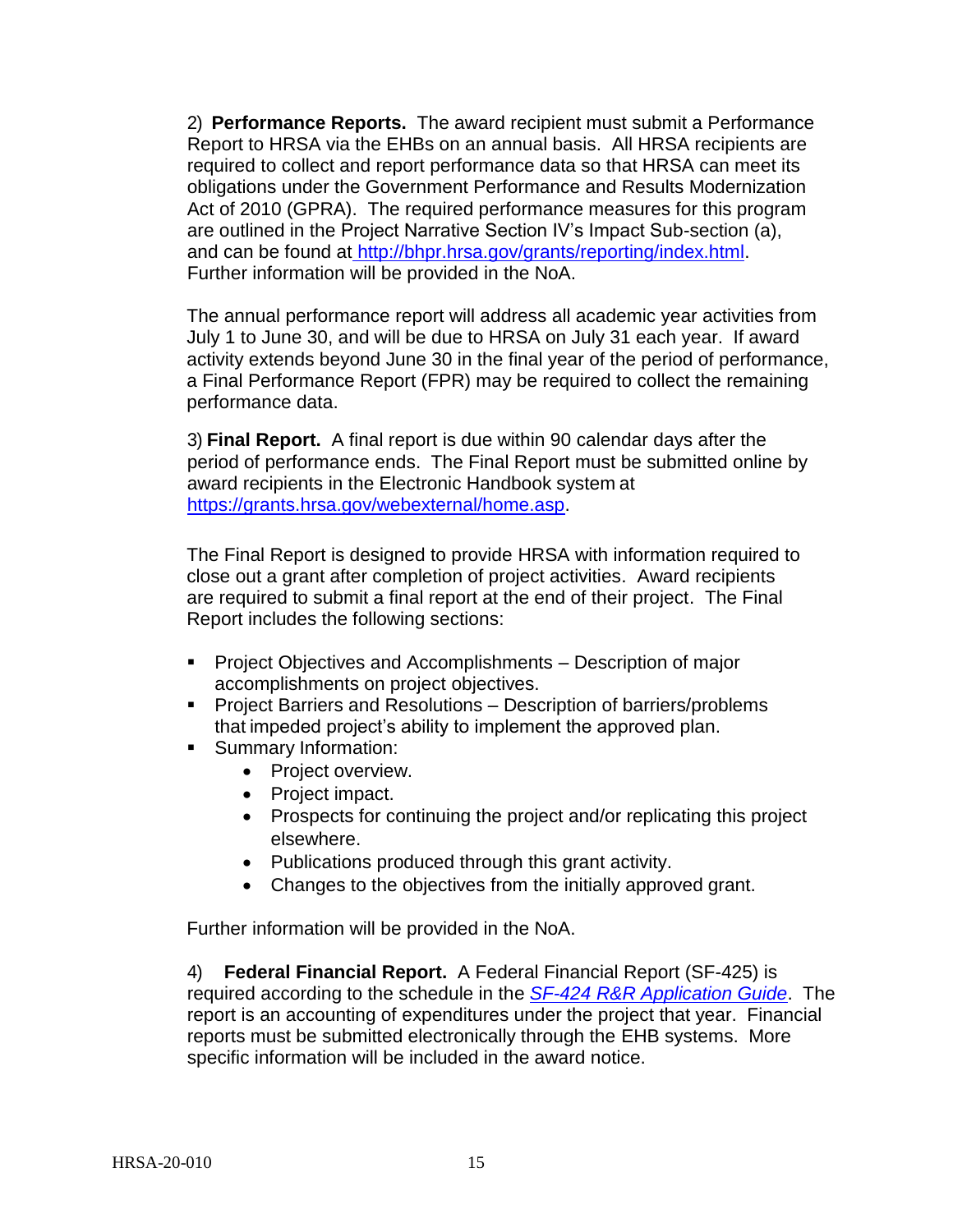2) **Performance Reports.** The award recipient must submit a Performance Report to HRSA via the EHBs on an annual basis. All HRSA recipients are required to collect and report performance data so that HRSA can meet its obligations under the Government Performance and Results Modernization Act of 2010 (GPRA). The required performance measures for this program are outlined in the Project Narrative Section IV's Impact Sub-section (a), and can be found at [http://bhpr.hrsa.gov/grants/reporting/index.html.](http://bhpr.hrsa.gov/grants/reporting/index.html) Further information will be provided in the NoA.

The annual performance report will address all academic year activities from July 1 to June 30, and will be due to HRSA on July 31 each year. If award activity extends beyond June 30 in the final year of the period of performance, a Final Performance Report (FPR) may be required to collect the remaining performance data.

3) **Final Report.** A final report is due within 90 calendar days after the period of performance ends. The Final Report must be submitted online by award recipients in the Electronic Handbook system at [https://grants.hrsa.gov/webexternal/home.asp.](https://grants.hrsa.gov/webexternal/home.asp)

The Final Report is designed to provide HRSA with information required to close out a grant after completion of project activities. Award recipients are required to submit a final report at the end of their project. The Final Report includes the following sections:

- **Project Objectives and Accomplishments Description of major** accomplishments on project objectives.
- **Project Barriers and Resolutions Description of barriers/problems** that impeded project's ability to implement the approved plan.
- **Summary Information:** 
	- Project overview.
	- Project impact.
	- Prospects for continuing the project and/or replicating this project elsewhere.
	- Publications produced through this grant activity.
	- Changes to the objectives from the initially approved grant.

Further information will be provided in the NoA.

4) **Federal Financial Report.** A Federal Financial Report (SF-425) is required according to the schedule in the *SF-424 [R&R Application Guide](http://www.hrsa.gov/grants/apply/applicationguide/sf424rrguidev2.pdf)*. The report is an accounting of expenditures under the project that year. Financial reports must be submitted electronically through the EHB systems. More specific information will be included in the award notice.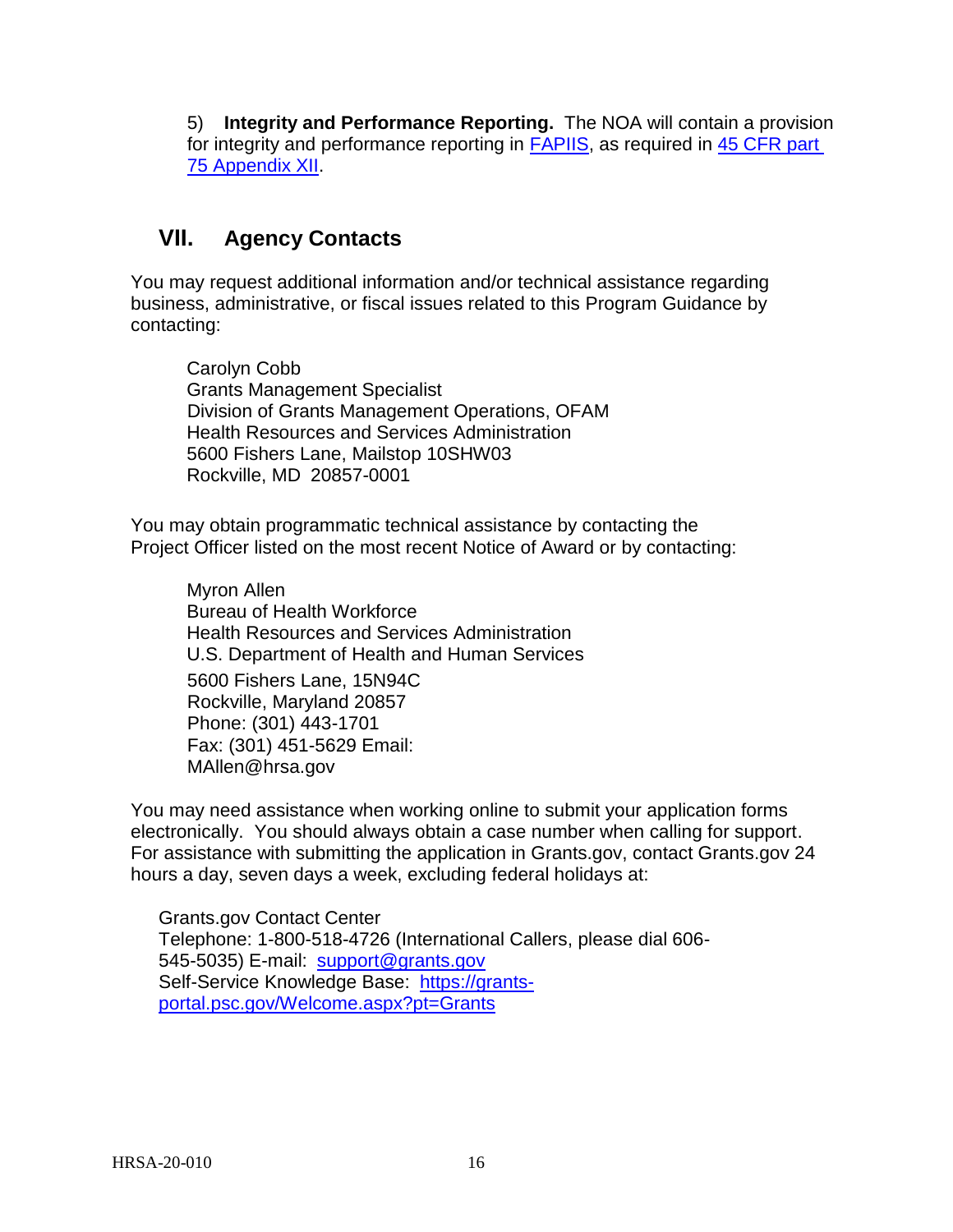5) **Integrity and Performance Reporting.** The NOA will contain a provision for integrity and performance reporting in [FAPIIS,](https://www.fapiis.gov/) as required in 45 CFR part [75 Appendix XII.](https://www.ecfr.gov/cgi-bin/retrieveECFR?gp=1&SID=4d52364ec83fab994c665943dadf9cf7&ty=HTML&h=L&r=PART&n=pt45.1.75)

# <span id="page-17-0"></span>**VII. Agency Contacts**

You may request additional information and/or technical assistance regarding business, administrative, or fiscal issues related to this Program Guidance by contacting:

Carolyn Cobb Grants Management Specialist Division of Grants Management Operations, OFAM Health Resources and Services Administration 5600 Fishers Lane, Mailstop 10SHW03 Rockville, MD 20857-0001

You may obtain programmatic technical assistance by contacting the Project Officer listed on the most recent Notice of Award or by contacting:

Myron Allen Bureau of Health Workforce Health Resources and Services Administration U.S. Department of Health and Human Services 5600 Fishers Lane, 15N94C Rockville, Maryland 20857 Phone: (301) 443-1701 Fax: (301) 451-5629 Email: [MAllen@hrsa.gov](mailto:MAllen@hrsa.gov)

You may need assistance when working online to submit your application forms electronically. You should always obtain a case number when calling for support. For assistance with submitting the application in Grants.gov, contact Grants.gov 24 hours a day, seven days a week, excluding federal holidays at:

Grants.gov Contact Center Telephone: 1-800-518-4726 (International Callers, please dial 606 545-5035) E-mail: [support@grants.gov](mailto:support@grants.gov) Self-Service Knowledge Base: [https://grants](https://grants-portal.psc.gov/Welcome.aspx?pt=Grants)[portal.psc.gov/Welcome.aspx?pt=Grants](https://grants-portal.psc.gov/Welcome.aspx?pt=Grants)